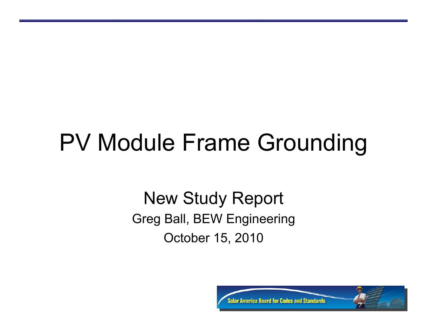# PV Module Frame Grounding

#### New Study Report Greg Ball, BEW Engineering October 15, 2010

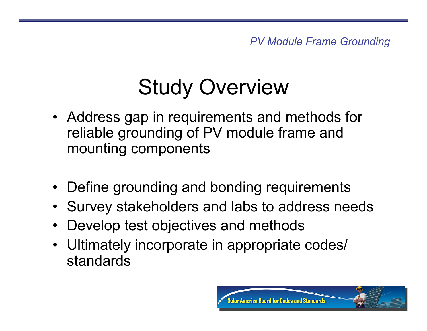## Study Overview

- Address gap in requirements and methods for reliable grounding of PV module frame and mounting components
- Define grounding and bonding requirements
- Survey stakeholders and labs to address needs
- Develop test objectives and methods
- Ultimately incorporate in appropriate codes/ standards

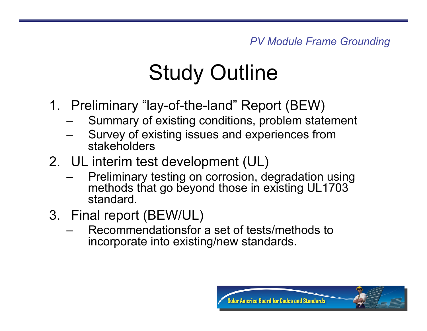### Study Outline

- 1. Preliminary "lay-of-the-land" Report (BEW)
	- Summary of existing conditions, problem statement
	- Survey of existing issues and experiences from stakeholders
- 2. UL interim test development (UL)
	- Preliminary testing on corrosion, degradation using methods that go beyond those in existing UL1703 standard.
- 3. Final report (BEW/UL)
	- Recommendationsfor a set of tests/methods to incorporate into existing/new standards.

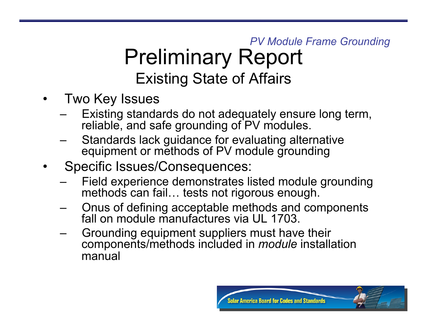#### *PV Module Frame Grounding*  Preliminary Report Existing State of Affairs

- Two Key Issues
	- Existing standards do not adequately ensure long term, reliable, and safe grounding of PV modules.
	- Standards lack guidance for evaluating alternative equipment or methods of PV module grounding
- Specific Issues/Consequences:
	- Field experience demonstrates listed module grounding methods can fail… tests not rigorous enough.
	- Onus of defining acceptable methods and components fall on module manufactures via UL 1703.
	- Grounding equipment suppliers must have their components/methods included in *module* installation manual

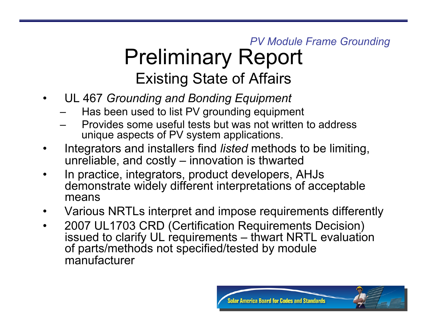#### *PV Module Frame Grounding*  Preliminary Report Existing State of Affairs

- UL 467 *Grounding and Bonding Equipment* 
	- Has been used to list PV grounding equipment
	- Provides some useful tests but was not written to address unique aspects of PV system applications.
- Integrators and installers find *listed* methods to be limiting, unreliable, and costly – innovation is thwarted
- In practice, integrators, product developers, AHJs demonstrate widely different interpretations of acceptable means
- Various NRTLs interpret and impose requirements differently
- 2007 UL1703 CRD (Certification Requirements Decision) issued to clarify UL requirements – thwart NRTL evaluation of parts/methods not specified/tested by module manufacturer

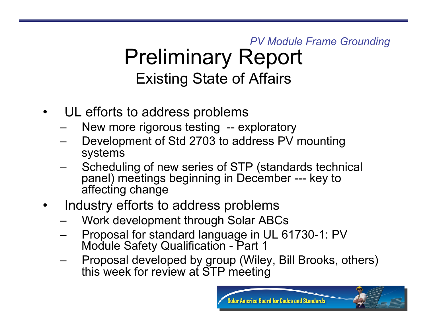#### *PV Module Frame Grounding*  Preliminary Report Existing State of Affairs

- UL efforts to address problems
	- New more rigorous testing -- exploratory
	- Development of Std 2703 to address PV mounting systems
	- Scheduling of new series of STP (standards technical panel) meetings beginning in December --- key to affecting change
- Industry efforts to address problems
	- Work development through Solar ABCs
	- Proposal for standard language in UL 61730-1: PV Module Safety Qualification - Part 1
	- Proposal developed by group (Wiley, Bill Brooks, others) this week for review at STP meeting

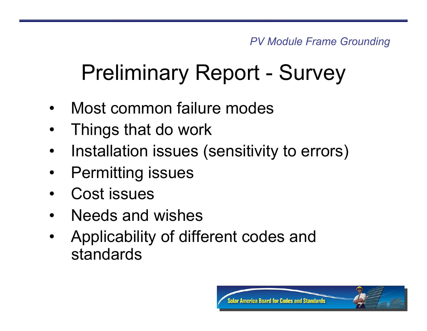- Most common failure modes
- Things that do work
- Installation issues (sensitivity to errors)
- **Permitting issues**
- Cost issues
- Needs and wishes
- Applicability of different codes and standards

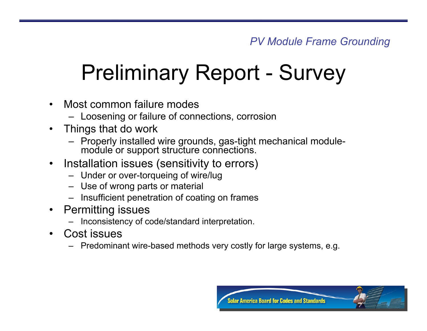- Most common failure modes
	- Loosening or failure of connections, corrosion
- Things that do work
	- Properly installed wire grounds, gas-tight mechanical modulemodule or support structure connections.
- Installation issues (sensitivity to errors)
	- Under or over-torqueing of wire/lug
	- Use of wrong parts or material
	- Insufficient penetration of coating on frames
- Permitting issues
	- Inconsistency of code/standard interpretation.
- Cost issues
	- Predominant wire-based methods very costly for large systems, e.g.

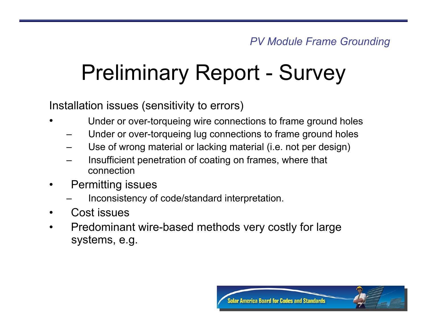Installation issues (sensitivity to errors)

- Under or over-torqueing wire connections to frame ground holes
	- Under or over-torqueing lug connections to frame ground holes
	- Use of wrong material or lacking material (i.e. not per design)
	- Insufficient penetration of coating on frames, where that connection
- Permitting issues
	- Inconsistency of code/standard interpretation.
- Cost issues
- Predominant wire-based methods very costly for large systems, e.g.

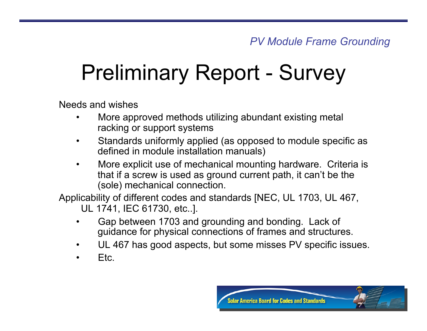Needs and wishes

- More approved methods utilizing abundant existing metal racking or support systems
- Standards uniformly applied (as opposed to module specific as defined in module installation manuals)
- More explicit use of mechanical mounting hardware. Criteria is that if a screw is used as ground current path, it can't be the (sole) mechanical connection.

Applicability of different codes and standards [NEC, UL 1703, UL 467, UL 1741, IEC 61730, etc..].

- Gap between 1703 and grounding and bonding. Lack of guidance for physical connections of frames and structures.
- UL 467 has good aspects, but some misses PV specific issues.
- Etc.

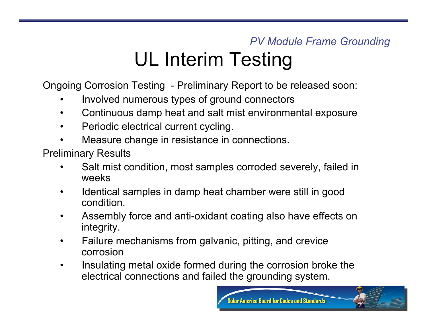#### *PV Module Frame Grounding*  UL Interim Testing

Ongoing Corrosion Testing - Preliminary Report to be released soon:

- Involved numerous types of ground connectors
- Continuous damp heat and salt mist environmental exposure
- Periodic electrical current cycling.
- Measure change in resistance in connections.

Preliminary Results

- Salt mist condition, most samples corroded severely, failed in weeks
- Identical samples in damp heat chamber were still in good condition.
- Assembly force and anti-oxidant coating also have effects on integrity.
- Failure mechanisms from galvanic, pitting, and crevice corrosion
- Insulating metal oxide formed during the corrosion broke the electrical connections and failed the grounding system.

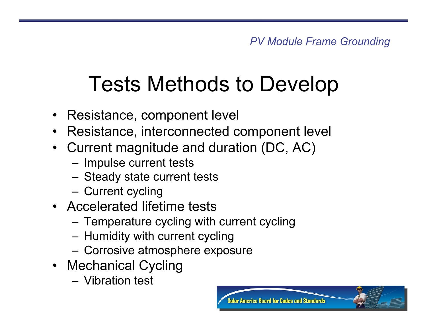## Tests Methods to Develop

- Resistance, component level
- Resistance, interconnected component level
- Current magnitude and duration (DC, AC)
	- Impulse current tests
	- Steady state current tests
	- Current cycling
- Accelerated lifetime tests
	- Temperature cycling with current cycling
	- Humidity with current cycling
	- Corrosive atmosphere exposure
- Mechanical Cycling
	- Vibration test

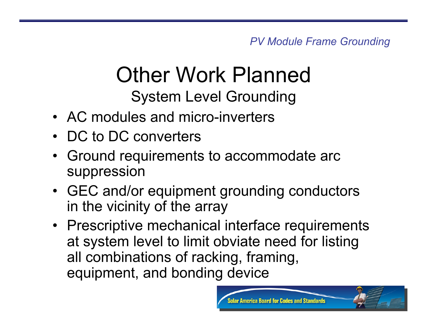*PV Module Frame Grounding* 

#### Other Work Planned System Level Grounding

- AC modules and micro-inverters
- DC to DC converters
- Ground requirements to accommodate arc suppression
- GEC and/or equipment grounding conductors in the vicinity of the array
- Prescriptive mechanical interface requirements at system level to limit obviate need for listing all combinations of racking, framing, equipment, and bonding device